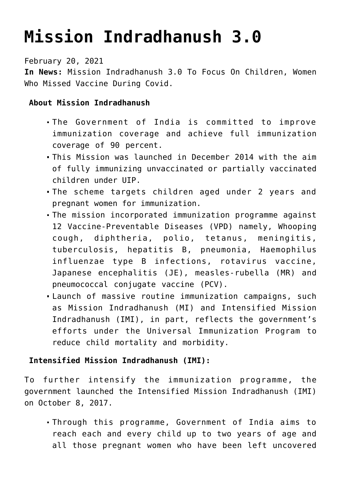## **[Mission Indradhanush 3.0](https://journalsofindia.com/mission-indradhanush-3-0/)**

February 20, 2021

**In News:** Mission Indradhanush 3.0 To Focus On Children, Women Who Missed Vaccine During Covid.

## **About Mission Indradhanush**

- The Government of India is committed to improve immunization coverage and achieve full immunization coverage of 90 percent.
- This Mission was launched in December 2014 with the aim of fully immunizing unvaccinated or partially vaccinated children under UIP.
- The scheme targets children aged under 2 years and pregnant women for immunization.
- The mission incorporated immunization programme against 12 Vaccine-Preventable Diseases (VPD) namely, Whooping cough, diphtheria, polio, tetanus, meningitis, tuberculosis, hepatitis B, pneumonia, Haemophilus influenzae type B infections, rotavirus vaccine, Japanese encephalitis (JE), measles-rubella (MR) and pneumococcal conjugate vaccine (PCV).
- Launch of massive routine immunization campaigns, such as Mission Indradhanush (MI) and Intensified Mission Indradhanush (IMI), in part, reflects the government's efforts under the Universal Immunization Program to reduce child mortality and morbidity.

## **Intensified Mission Indradhanush (IMI):**

To further intensify the immunization programme, the government launched the Intensified Mission Indradhanush (IMI) on October 8, 2017.

Through this programme, Government of India aims to reach each and every child up to two years of age and all those pregnant women who have been left uncovered